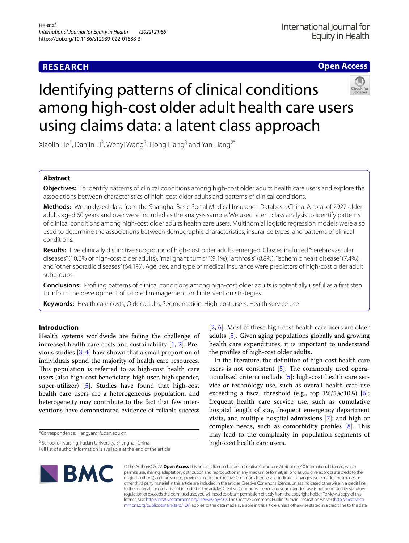## **RESEARCH**

**Open Access**

# Identifying patterns of clinical conditions among high-cost older adult health care users using claims data: a latent class approach



Xiaolin He<sup>1</sup>, Danjin Li<sup>2</sup>, Wenyi Wang<sup>3</sup>, Hong Liang<sup>3</sup> and Yan Liang<sup>2\*</sup>

### **Abstract**

**Objectives:** To identify patterns of clinical conditions among high-cost older adults health care users and explore the associations between characteristics of high-cost older adults and patterns of clinical conditions.

**Methods:** We analyzed data from the Shanghai Basic Social Medical Insurance Database, China. A total of 2927 older adults aged 60 years and over were included as the analysis sample. We used latent class analysis to identify patterns of clinical conditions among high-cost older adults health care users. Multinomial logistic regression models were also used to determine the associations between demographic characteristics, insurance types, and patterns of clinical conditions.

**Results:** Five clinically distinctive subgroups of high-cost older adults emerged. Classes included "cerebrovascular diseases" (10.6% of high-cost older adults), "malignant tumor" (9.1%), "arthrosis" (8.8%), "ischemic heart disease" (7.4%), and "other sporadic diseases" (64.1%). Age, sex, and type of medical insurance were predictors of high-cost older adult subgroups.

**Conclusions:** Profling patterns of clinical conditions among high-cost older adults is potentially useful as a frst step to inform the development of tailored management and intervention strategies.

**Keywords:** Health care costs, Older adults, Segmentation, High-cost users, Health service use

#### **Introduction**

Health systems worldwide are facing the challenge of increased health care costs and sustainability [[1,](#page-7-0) [2\]](#page-7-1). Previous studies [[3,](#page-7-2) [4](#page-7-3)] have shown that a small proportion of individuals spend the majority of health care resources. This population is referred to as high-cost health care users (also high-cost benefciary, high user, high spender, super-utilizer) [\[5](#page-7-4)]. Studies have found that high-cost health care users are a heterogeneous population, and heterogeneity may contribute to the fact that few interventions have demonstrated evidence of reliable success

\*Correspondence: liangyan@fudan.edu.cn

<sup>2</sup> School of Nursing, Fudan University, Shanghai, China Full list of author information is available at the end of the article [[2,](#page-7-1) [6\]](#page-7-5). Most of these high-cost health care users are older adults [[5\]](#page-7-4). Given aging populations globally and growing health care expenditures, it is important to understand the profles of high-cost older adults.

In the literature, the defnition of high-cost health care users is not consistent  $[5]$  $[5]$ . The commonly used operationalized criteria include [\[5](#page-7-4)]: high-cost health care service or technology use, such as overall health care use exceeding a fiscal threshold (e.g., top  $1\%/5\%/10\%)$  [\[6](#page-7-5)]; frequent health care service use, such as cumulative hospital length of stay, frequent emergency department visits, and multiple hospital admissions [[7\]](#page-7-6); and high or complex needs, such as comorbidity profiles  $[8]$  $[8]$ . This may lead to the complexity in population segments of high-cost health care users.



© The Author(s) 2022. **Open Access** This article is licensed under a Creative Commons Attribution 4.0 International License, which permits use, sharing, adaptation, distribution and reproduction in any medium or format, as long as you give appropriate credit to the original author(s) and the source, provide a link to the Creative Commons licence, and indicate if changes were made. The images or other third party material in this article are included in the article's Creative Commons licence, unless indicated otherwise in a credit line to the material. If material is not included in the article's Creative Commons licence and your intended use is not permitted by statutory regulation or exceeds the permitted use, you will need to obtain permission directly from the copyright holder. To view a copy of this licence, visit [http://creativecommons.org/licenses/by/4.0/.](http://creativecommons.org/licenses/by/4.0/) The Creative Commons Public Domain Dedication waiver ([http://creativeco](http://creativecommons.org/publicdomain/zero/1.0/) [mmons.org/publicdomain/zero/1.0/](http://creativecommons.org/publicdomain/zero/1.0/)) applies to the data made available in this article, unless otherwise stated in a credit line to the data.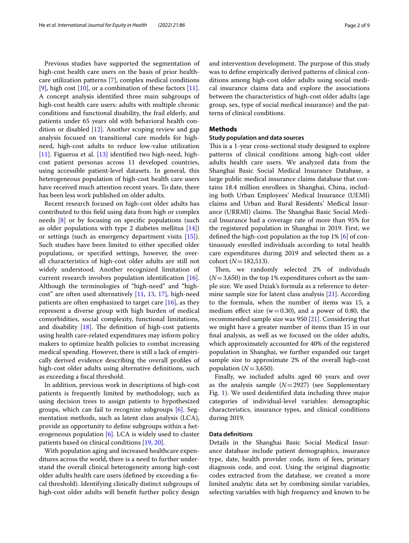Previous studies have supported the segmentation of high-cost health care users on the basis of prior healthcare utilization patterns [\[7](#page-7-6)], complex medical conditions [[9\]](#page-7-8), high cost  $[10]$ , or a combination of these factors  $[11]$  $[11]$ . A concept analysis identifed three main subgroups of high-cost health care users: adults with multiple chronic conditions and functional disability, the frail elderly, and patients under 65 years old with behavioral health condition or disabled [[12](#page-7-11)]. Another scoping review and gap analysis focused on transitional care models for highneed, high-cost adults to reduce low-value utilization [[11\]](#page-7-10). Figueroa et al. [\[13](#page-7-12)] identified two high-need, highcost patient personas across 11 developed countries, using accessible patient-level datasets. In general, this heterogeneous population of high-cost health care users have received much attention recent years. To date, there has been less work published on older adults.

Recent research focused on high-cost older adults has contributed to this feld using data from high or complex needs [[8\]](#page-7-7) or by focusing on specifc populations (such as older populations with type 2 diabetes mellitus [\[14](#page-7-13)]) or settings (such as emergency department visits [\[15\]](#page-7-14)). Such studies have been limited to either specifed older populations, or specifed settings, however, the overall characteristics of high-cost older adults are still not widely understood. Another recognized limitation of current research involves population identifcation [\[16](#page-7-15)]. Although the terminologies of "high-need" and "highcost" are often used alternatively [[11,](#page-7-10) [13,](#page-7-12) [17](#page-7-16)], high-need patients are often emphasized to target care [[16\]](#page-7-15), as they represent a diverse group with high burden of medical comorbidities, social complexity, functional limitations, and disability  $[18]$  $[18]$ . The definition of high-cost patients using health care-related expenditures may inform policy makers to optimize health policies to combat increasing medical spending. However, there is still a lack of empirically derived evidence describing the overall profles of high-cost older adults using alternative defnitions, such as exceeding a fscal threshold.

In addition, previous work in descriptions of high-cost patients is frequently limited by methodology, such as using decision trees to assign patients to hypothesized groups, which can fail to recognize subgroups [[6](#page-7-5)]. Segmentation methods, such as latent class analysis (LCA), provide an opportunity to defne subgroups within a heterogeneous population [[6\]](#page-7-5). LCA is widely used to cluster patients based on clinical conditions [\[19](#page-7-18), [20\]](#page-7-19).

With population aging and increased healthcare expenditures across the world, there is a need to further understand the overall clinical heterogeneity among high-cost older adults health care users (defned by exceeding a fscal threshold). Identifying clinically distinct subgroups of high-cost older adults will beneft further policy design and intervention development. The purpose of this study was to defne empirically derived patterns of clinical conditions among high-cost older adults using social medical insurance claims data and explore the associations between the characteristics of high-cost older adults (age group, sex, type of social medical insurance) and the patterns of clinical conditions.

#### **Methods**

#### **Study population and data sources**

This is a 1-year cross-sectional study designed to explore patterns of clinical conditions among high-cost older adults health care users. We analyzed data from the Shanghai Basic Social Medical Insurance Database, a large public medical insurance claims database that contains 18.4 million enrollees in Shanghai, China, including both Urban Employees' Medical Insurance (UEMI) claims and Urban and Rural Residents' Medical Insurance (URRMI) claims. The Shanghai Basic Social Medical Insurance had a coverage rate of more than 95% for the registered population in Shanghai in 2019. First, we defned the high-cost population as the top 1% [\[6](#page-7-5)] of continuously enrolled individuals according to total health care expenditures during 2019 and selected them as a cohort (*N*=182,513).

Then, we randomly selected 2% of individuals  $(N=3,650)$  in the top 1% expenditures cohort as the sample size. We used Dziak's formula as a reference to determine sample size for latent class analysis [\[21\]](#page-7-20). According to the formula, when the number of items was 15, a medium effect size ( $w=0.30$ ), and a power of 0.80, the recommended sample size was 950 [[21](#page-7-20)]. Considering that we might have a greater number of items than 15 in our fnal analysis, as well as we focused on the older adults, which approximately accounted for 40% of the registered population in Shanghai, we further expanded our target sample size to approximate 2% of the overall high-cost population  $(N=3,650)$ .

Finally, we included adults aged 60 years and over as the analysis sample  $(N=2927)$  (see Supplementary Fig. [1\)](#page-7-21). We used deidentifed data including three major categories of individual-level variables: demographic characteristics, insurance types, and clinical conditions during 2019.

#### **Data defnitions**

Details in the Shanghai Basic Social Medical Insurance database include patient demographics, insurance type, date, health provider code, item of fees, primary diagnosis code, and cost. Using the original diagnostic codes extracted from the database, we created a more limited analytic data set by combining similar variables, selecting variables with high frequency and known to be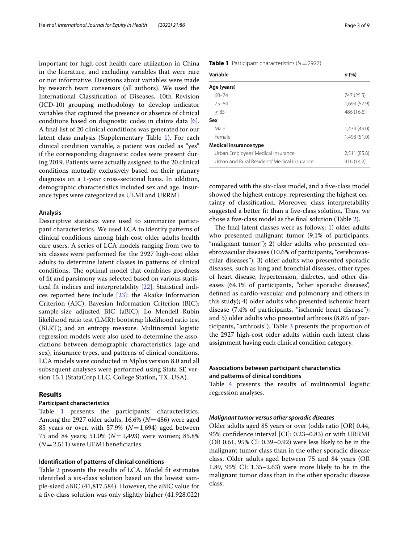important for high-cost health care utilization in China in the literature, and excluding variables that were rare or not informative. Decisions about variables were made by research team consensus (all authors). We used the International Classifcation of Diseases, 10th Revision (ICD-10) grouping methodology to develop indicator variables that captured the presence or absence of clinical conditions based on diagnostic codes in claims data [\[6](#page-7-5)]. A fnal list of 20 clinical conditions was generated for our latent class analysis (Supplementary Table [1](#page-7-22)). For each clinical condition variable, a patient was coded as "yes" if the corresponding diagnostic codes were present during 2019. Patients were actually assigned to the 20 clinical conditions mutually exclusively based on their primary diagnosis on a 1-year cross-sectional basis. In addition, demographic characteristics included sex and age. Insurance types were categorized as UEMI and URRMI.

#### **Analysis**

Descriptive statistics were used to summarize participant characteristics. We used LCA to identify patterns of clinical conditions among high-cost older adults health care users. A series of LCA models ranging from two to six classes were performed for the 2927 high-cost older adults to determine latent classes in patterns of clinical conditions. The optimal model that combines goodness of ft and parsimony was selected based on various statistical ft indices and interpretability [[22\]](#page-7-23). Statistical indices reported here include [\[23](#page-7-24)]: the Akaike Information Criterion (AIC); Bayesian Information Criterion (BIC); sample-size adjusted BIC (aBIC); Lo–Mendell–Rubin likelihood ratio test (LMR); bootstrap likelihood ratio test (BLRT); and an entropy measure. Multinomial logistic regression models were also used to determine the associations between demographic characteristics (age and sex), insurance types, and patterns of clinical conditions. LCA models were conducted in Mplus version 8.0 and all subsequent analyses were performed using Stata SE version 15.1 (StataCorp LLC, College Station, TX, USA).

#### **Results**

#### **Participant characteristics**

Table [1](#page-2-0) presents the participants' characteristics. Among the 2927 older adults, 16.6% (*N*=486) were aged 85 years or over, with  $57.9\%$  ( $N=1,694$ ) aged between 75 and 84 years; 51.0% (*N*=1,493) were women; 85.8%  $(N=2,511)$  were UEMI beneficiaries.

#### **Identifcation of patterns of clinical conditions**

Table [2](#page-3-0) presents the results of LCA. Model ft estimates identifed a six-class solution based on the lowest sample-sized aBIC (41,817.584). However, the aBIC value for a fve-class solution was only slightly higher (41,928.022)

<span id="page-2-0"></span>

| <b>Table 1</b> Participant characteristics ( $N = 2927$ ) |
|-----------------------------------------------------------|
|                                                           |

| Variable                                     | n (%)        |
|----------------------------------------------|--------------|
| Age (years)                                  |              |
| $60 - 74$                                    | 747 (25.5)   |
| $75 - 84$                                    | 1,694 (57.9) |
| > 85                                         | 486 (16.6)   |
| Sex                                          |              |
| Male                                         | 1,434(49,0)  |
| Female                                       | 1,493(51.0)  |
| Medical insurance type                       |              |
| Urban Employees' Medical Insurance           | 2,511 (85.8) |
| Urban and Rural Residents' Medical Insurance | 416 (14.2)   |

compared with the six-class model, and a fve-class model showed the highest entropy, representing the highest certainty of classifcation. Moreover, class interpretability suggested a better fit than a five-class solution. Thus, we chose a fve-class model as the fnal solution (Table [2](#page-3-0)).

The final latent classes were as follows: 1) older adults who presented malignant tumor (9.1% of participants, "malignant tumor"); 2) older adults who presented cerebrovascular diseases (10.6% of participants, "cerebrovascular diseases"); 3) older adults who presented sporadic diseases, such as lung and bronchial diseases, other types of heart disease, hypertension, diabetes, and other diseases (64.1% of participants, "other sporadic diseases", defned as cardio-vascular and pulmonary and others in this study); 4) older adults who presented ischemic heart disease (7.4% of participants, "ischemic heart disease"); and 5) older adults who presented arthrosis (8.8% of participants, "arthrosis"). Table [3](#page-3-1) presents the proportion of the 2927 high-cost older adults within each latent class assignment having each clinical condition category.

#### **Associations between participant characteristics and patterns of clinical conditions**

Table [4](#page-4-0) presents the results of multinomial logistic regression analyses.

#### *Malignant tumor versus other sporadic diseases*

Older adults aged 85 years or over (odds ratio [OR] 0.44, 95% confdence interval [CI]: 0.23–0.83) or with URRMI (OR 0.61, 95% CI: 0.39–0.92) were less likely to be in the malignant tumor class than in the other sporadic disease class. Older adults aged between 75 and 84 years (OR 1.89, 95% CI: 1.35–2.63) were more likely to be in the malignant tumor class than in the other sporadic disease class.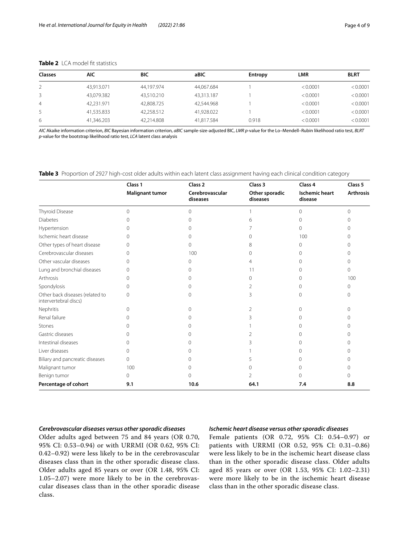| <b>Classes</b> | AIC        | BIC        | aBIC       | Entropy | <b>LMR</b> | <b>BLRT</b> |
|----------------|------------|------------|------------|---------|------------|-------------|
|                | 43.913.071 | 44.197.974 | 44.067.684 |         | < 0.0001   | < 0.0001    |
| 3              | 43.079.382 | 43.510.210 | 43.313.187 |         | < 0.0001   | < 0.0001    |
| 4              | 42.231.971 | 42,808,725 | 42.544.968 |         | < 0.0001   | < 0.0001    |
|                | 41.535.833 | 42.258.512 | 41,928.022 |         | < 0.0001   | < 0.0001    |
| 6              | 41,346.203 | 42.214.808 | 41.817.584 | 0.918   | < 0.0001   | < 0.0001    |

#### <span id="page-3-0"></span>**Table 2** LCA model fit statistics

*AIC* Akaike information criterion, *BIC* Bayesian information criterion, *aBIC* sample-size-adjusted BIC, *LMR p*-value for the Lo–Mendell–Rubin likelihood ratio test, *BLRT p*-value for the bootstrap likelihood ratio test, *LCA* latent class analysis

<span id="page-3-1"></span>**Table 3** Proportion of 2927 high-cost older adults within each latent class assignment having each clinical condition category

|                                                          | Class 1                | Class <sub>2</sub>          | Class 3                    | Class 4                          | Class 5          |
|----------------------------------------------------------|------------------------|-----------------------------|----------------------------|----------------------------------|------------------|
|                                                          | <b>Malignant tumor</b> | Cerebrovascular<br>diseases | Other sporadic<br>diseases | <b>Ischemic heart</b><br>disease | <b>Arthrosis</b> |
| Thyroid Disease                                          | $\Omega$               | $\Omega$                    |                            | $\Omega$                         | $\Omega$         |
| <b>Diabetes</b>                                          | $\Omega$               | 0                           | 6                          | 0                                | ∩                |
| Hypertension                                             | $\Omega$               | U                           |                            | 0                                | U                |
| Ischemic heart disease                                   | $\left( \right)$       |                             |                            | 100                              |                  |
| Other types of heart disease                             | ∩                      | U                           | 8                          | 0                                | ∩                |
| Cerebrovascular diseases                                 | ∩                      | 100                         |                            |                                  |                  |
| Other vascular diseases                                  | 0                      | 0                           |                            |                                  | 0                |
| Lung and bronchial diseases                              | $\Omega$               |                             | 11                         |                                  | U                |
| Arthrosis                                                | ∩                      | 0                           | $\cap$                     |                                  | 100              |
| Spondylosis                                              | $\Omega$               | 0                           |                            |                                  | $\Omega$         |
| Other back diseases (related to<br>intervertebral discs) | $\Omega$               | 0                           |                            |                                  | 0                |
| Nephritis                                                | $\Omega$               | $\Omega$                    |                            | ∩                                | 0                |
| Renal failure                                            | 0                      | 0                           |                            |                                  | 0                |
| Stones                                                   | $\cap$                 | ∩                           |                            |                                  | ∩                |
| Gastric diseases                                         | 0                      | 0                           |                            |                                  | ∩                |
| Intestinal diseases                                      | $\Omega$               | 0                           |                            |                                  | 0                |
| Liver diseases                                           | $\Omega$               | Ω                           |                            |                                  | ∩                |
| Biliary and pancreatic diseases                          | $\Omega$               | Ω                           |                            |                                  |                  |
| Malignant tumor                                          | 100                    | ( )                         |                            |                                  |                  |
| Benign tumor                                             | $\Omega$               | 0                           |                            |                                  | Λ                |
| Percentage of cohort                                     | 9.1                    | 10.6                        | 64.1                       | 7.4                              | 8.8              |

#### *Cerebrovascular diseases versus other sporadic diseases*

Older adults aged between 75 and 84 years (OR 0.70, 95% CI: 0.53–0.94) or with URRMI (OR 0.62, 95% CI: 0.42–0.92) were less likely to be in the cerebrovascular diseases class than in the other sporadic disease class. Older adults aged 85 years or over (OR 1.48, 95% CI: 1.05–2.07) were more likely to be in the cerebrovascular diseases class than in the other sporadic disease class.

#### *Ischemic heart disease versus other sporadic diseases*

Female patients (OR 0.72, 95% CI: 0.54–0.97) or patients with URRMI (OR 0.52, 95% CI: 0.31–0.86) were less likely to be in the ischemic heart disease class than in the other sporadic disease class. Older adults aged 85 years or over (OR 1.53, 95% CI: 1.02–2.31) were more likely to be in the ischemic heart disease class than in the other sporadic disease class.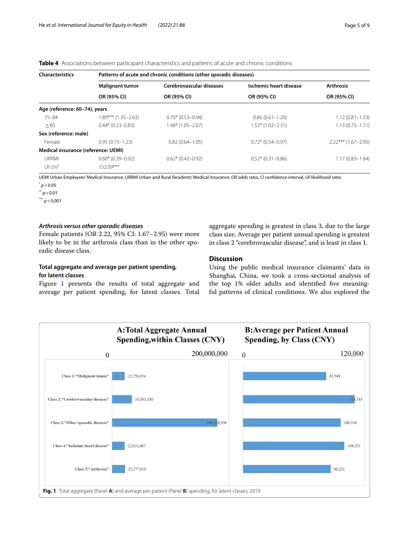<span id="page-4-0"></span>**Table 4** Associations between participant characteristics and patterns of acute and chronic conditions

| <b>Characteristics</b>              | Patterns of acute and chronic conditions (other sporadic diseases) |                          |                        |                       |  |  |
|-------------------------------------|--------------------------------------------------------------------|--------------------------|------------------------|-----------------------|--|--|
|                                     | <b>Malignant tumor</b>                                             | Cerebrovascular diseases | Ischemic heart disease | <b>Arthrosis</b>      |  |  |
|                                     | OR (95% CI)                                                        | OR (95% CI)              | OR (95% CI)            | OR (95% CI)           |  |  |
| Age (reference: 60-74), years       |                                                                    |                          |                        |                       |  |  |
| $75 - 84$                           | 1.89*** (1.35–2.63)                                                | $0.70*$ (0.53-0.94)      | $0.86(0.61 - 1.20)$    | $1.12(0.81 - 1.53)$   |  |  |
| > 85                                | $0.44*$ (0.23-0.83)                                                | $1.48*$ (1.05-2.07)      | $1.53*(1.02 - 2.31)$   | $1.13(0.75 - 1.71)$   |  |  |
| Sex (reference: male)               |                                                                    |                          |                        |                       |  |  |
| Female                              | $0.95(0.73 - 1.23)$                                                | $0.82(0.64 - 1.05)$      | $0.72*$ (0.54-0.97)    | $2.22***$ (1.67-2.95) |  |  |
| Medical insurance (reference: UEMI) |                                                                    |                          |                        |                       |  |  |
| <b>URRMI</b>                        | $0.60*$ (0.39-0.92)                                                | $0.62*$ (0.42-0.92)      | $0.52*(0.31-0.86)$     | $1.17(0.83 - 1.64)$   |  |  |
| IRchi <sup>2</sup>                  | $152.09***$                                                        |                          |                        |                       |  |  |

*UEMI* Urban Employees' Medical Insurance, *URRMI* Urban and Rural Residents' Medical Insurance, *OR* odds ratio, *CI* confdence interval, *LR* likelihood ratio

 $p$  < 0.05

\*\* *p*<0.01

 $*** p < 0.001$ 

#### *Arthrosis versus other sporadic diseases*

Female patients (OR 2.22, 95% CI: 1.67–2.95) were more likely to be in the arthrosis class than in the other sporadic disease class.

#### **Total aggregate and average per patient spending, for latent classes**

Figure [1](#page-4-1) presents the results of total aggregate and average per patient spending, for latent classes. Total aggregate spending is greatest in class 3, due to the large class size. Average per patient annual spending is greatest in class 2 "cerebrovascular disease", and is least in class 1.

#### **Discussion**

Using the public medical insurance claimants' data in Shanghai, China, we took a cross-sectional analysis of the top 1% older adults and identifed fve meaningful patterns of clinical conditions. We also explored the

<span id="page-4-1"></span>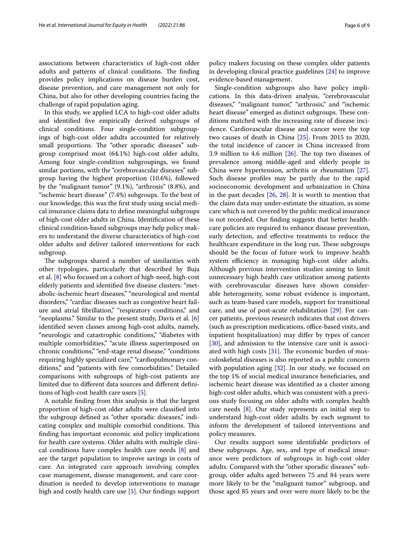associations between characteristics of high-cost older adults and patterns of clinical conditions. The finding provides policy implications on disease burden cost, disease prevention, and care management not only for China, but also for other developing countries facing the challenge of rapid population aging.

In this study, we applied LCA to high-cost older adults and identifed fve empirically derived subgroups of clinical conditions. Four single-condition subgroupings of high-cost older adults accounted for relatively small proportions. The "other sporadic diseases" subgroup comprised most (64.1%) high-cost older adults. Among four single-condition subgroupings, we found similar portions, with the "cerebrovascular diseases" subgroup having the highest proportion (10.6%), followed by the "malignant tumor" (9.1%), "arthrosis" (8.8%), and "ischemic heart disease" (7.4%) subgroups. To the best of our knowledge, this was the frst study using social medical insurance claims data to defne meaningful subgroups of high-cost older adults in China. Identifcation of these clinical condition-based subgroups may help policy makers to understand the diverse characteristics of high-cost older adults and deliver tailored interventions for each subgroup.

The subgroups shared a number of similarities with other typologies, particularly that described by Buja et al. [[8\]](#page-7-7) who focused on a cohort of high-need, high-cost elderly patients and identifed fve disease clusters: "metabolic-ischemic heart diseases," "neurological and mental disorders," "cardiac diseases such as congestive heart failure and atrial fbrillation," "respiratory conditions," and "neoplasms." Similar to the present study, Davis et al. [\[6](#page-7-5)] identifed seven classes among high-cost adults, namely, "neurologic and catastrophic conditions," "diabetes with multiple comorbidities," "acute illness superimposed on chronic conditions," "end-stage renal disease," "conditions requiring highly specialized care," "cardiopulmonary conditions," and "patients with few comorbidities." Detailed comparisons with subgroups of high-cost patients are limited due to diferent data sources and diferent defnitions of high-cost health care users [\[5](#page-7-4)].

A notable fnding from this analysis is that the largest proportion of high-cost older adults were classifed into the subgroup defned as "other sporadic diseases," indicating complex and multiple comorbid conditions. This fnding has important economic and policy implications for health care systems. Older adults with multiple clinical conditions have complex health care needs [\[8](#page-7-7)] and are the target population to improve savings in costs of care. An integrated care approach involving complex case management, disease management, and care coordination is needed to develop interventions to manage high and costly health care use [\[5\]](#page-7-4). Our findings support policy makers focusing on these complex older patients in developing clinical practice guidelines [[24\]](#page-7-25) to improve evidence-based management.

Single-condition subgroups also have policy implications. In this data-driven analysis, "cerebrovascular diseases," "malignant tumor," "arthrosis," and "ischemic heart disease" emerged as distinct subgroups. These conditions matched with the increasing rate of disease incidence. Cardiovascular disease and cancer were the top two causes of death in China [\[25\]](#page-7-26). From 2015 to 2020, the total incidence of cancer in China increased from 3.9 million to 4.6 million  $[26]$  $[26]$ . The top two diseases of prevalence among middle-aged and elderly people in China were hypertension, arthritis or rheumatism [\[27](#page-7-28)]. Such disease profles may be partly due to the rapid socioeconomic development and urbanization in China in the past decades [[26,](#page-7-27) [28\]](#page-7-29). It is worth to mention that the claim data may under-estimate the situation, as some care which is not covered by the public medical insurance is not recorded. Our fnding suggests that better healthcare policies are required to enhance disease prevention, early detection, and efective treatments to reduce the healthcare expenditure in the long run. These subgroups should be the focus of future work to improve health system efficiency in managing high-cost older adults. Although previous intervention studies aiming to limit unnecessary high health care utilization among patients with cerebrovascular diseases have shown considerable heterogeneity, some robust evidence is important, such as team-based care models, support for transitional care, and use of post-acute rehabilitation [\[29](#page-8-0)]. For cancer patients, previous research indicates that cost drivers (such as prescription medications, office-based visits, and inpatient hospitalization) may difer by types of cancer [[30\]](#page-8-1), and admission to the intensive care unit is associated with high costs  $[31]$  $[31]$ . The economic burden of musculoskeletal diseases is also reported as a public concern with population aging [[32\]](#page-8-3). In our study, we focused on the top 1% of social medical insurance benefciaries, and ischemic heart disease was identifed as a cluster among high-cost older adults, which was consistent with a previous study focusing on older adults with complex health care needs [[8](#page-7-7)]. Our study represents an initial step to understand high-cost older adults by each segment to inform the development of tailored interventions and policy measures.

Our results support some identifable predictors of these subgroups. Age, sex, and type of medical insurance were predictors of subgroups in high-cost older adults. Compared with the "other sporadic diseases" subgroup, older adults aged between 75 and 84 years were more likely to be the "malignant tumor" subgroup, and those aged 85 years and over were more likely to be the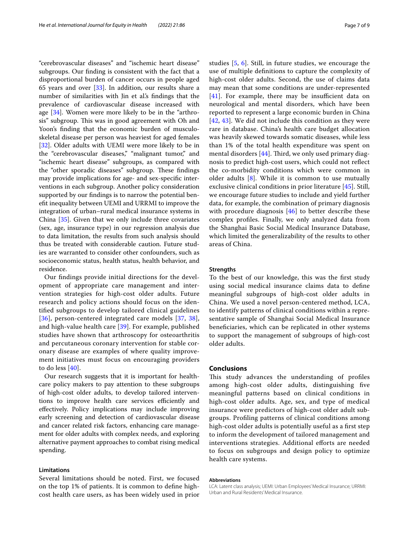"cerebrovascular diseases" and "ischemic heart disease" subgroups. Our fnding is consistent with the fact that a disproportional burden of cancer occurs in people aged 65 years and over [\[33](#page-8-4)]. In addition, our results share a number of similarities with Jin et al.'s fndings that the prevalence of cardiovascular disease increased with age [[34\]](#page-8-5). Women were more likely to be in the "arthrosis" subgroup. This was in good agreement with Oh and Yoon's fnding that the economic burden of musculoskeletal disease per person was heaviest for aged females [[32\]](#page-8-3). Older adults with UEMI were more likely to be in the "cerebrovascular diseases," "malignant tumor," and "ischemic heart disease" subgroups, as compared with the "other sporadic diseases" subgroup. These findings may provide implications for age- and sex-specifc interventions in each subgroup. Another policy consideration supported by our fndings is to narrow the potential beneft inequality between UEMI and URRMI to improve the integration of urban–rural medical insurance systems in China [\[35](#page-8-6)]. Given that we only include three covariates (sex, age, insurance type) in our regression analysis due to data limitation, the results from such analysis should thus be treated with considerable caution. Future studies are warranted to consider other confounders, such as socioeconomic status, health status, health behavior, and residence.

Our fndings provide initial directions for the development of appropriate care management and intervention strategies for high-cost older adults. Future research and policy actions should focus on the identifed subgroups to develop tailored clinical guidelines [[36](#page-8-7)], person-centered integrated care models [[37,](#page-8-8) [38\]](#page-8-9), and high-value health care [\[39\]](#page-8-10). For example, published studies have shown that arthroscopy for osteoarthritis and percutaneous coronary intervention for stable coronary disease are examples of where quality improvement initiatives must focus on encouraging providers to do less [[40](#page-8-11)].

Our research suggests that it is important for healthcare policy makers to pay attention to these subgroups of high-cost older adults, to develop tailored interventions to improve health care services efficiently and efectively. Policy implications may include improving early screening and detection of cardiovascular disease and cancer related risk factors, enhancing care management for older adults with complex needs, and exploring alternative payment approaches to combat rising medical spending.

#### **Limitations**

Several limitations should be noted. First, we focused on the top 1% of patients. It is common to defne highcost health care users, as has been widely used in prior studies [[5,](#page-7-4) [6\]](#page-7-5). Still, in future studies, we encourage the use of multiple defnitions to capture the complexity of high-cost older adults. Second, the use of claims data may mean that some conditions are under-represented  $[41]$  $[41]$  $[41]$ . For example, there may be insufficient data on neurological and mental disorders, which have been reported to represent a large economic burden in China [[42](#page-8-13), [43](#page-8-14)]. We did not include this condition as they were rare in database. China's health care budget allocation was heavily skewed towards somatic diseases, while less than 1% of the total health expenditure was spent on mental disorders  $[44]$  $[44]$ . Third, we only used primary diagnosis to predict high-cost users, which could not refect the co-morbidity conditions which were common in older adults [[8\]](#page-7-7). While it is common to use mutually exclusive clinical conditions in prior literature [[45\]](#page-8-16). Still, we encourage future studies to include and yield further data, for example, the combination of primary diagnosis with procedure diagnosis  $[46]$  $[46]$  to better describe these complex profles. Finally, we only analyzed data from the Shanghai Basic Social Medical Insurance Database, which limited the generalizability of the results to other areas of China.

#### **Strengths**

To the best of our knowledge, this was the frst study using social medical insurance claims data to defne meaningful subgroups of high-cost older adults in China. We used a novel person-centered method, LCA, to identify patterns of clinical conditions within a representative sample of Shanghai Social Medical Insurance benefciaries, which can be replicated in other systems to support the management of subgroups of high-cost older adults.

#### **Conclusions**

This study advances the understanding of profiles among high-cost older adults, distinguishing fve meaningful patterns based on clinical conditions in high-cost older adults. Age, sex, and type of medical insurance were predictors of high-cost older adult subgroups. Profling patterns of clinical conditions among high-cost older adults is potentially useful as a frst step to inform the development of tailored management and interventions strategies. Additional efforts are needed to focus on subgroups and design policy to optimize health care systems.

#### **Abbreviations**

LCA: Latent class analysis; UEMI: Urban Employees' Medical Insurance; URRMI: Urban and Rural Residents' Medical Insurance.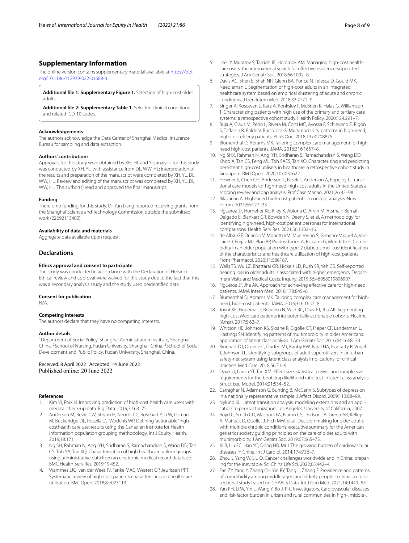#### **Supplementary Information**

The online version contains supplementary material available at [https://doi.](https://doi.org/10.1186/s12939-022-01688-3) [org/10.1186/s12939-022-01688-3](https://doi.org/10.1186/s12939-022-01688-3).

<span id="page-7-22"></span><span id="page-7-21"></span>**Additional fle 1: Supplementary Figure 1.** Selection of high-cost older adults.

**Additional fle 2: Supplementary Table 1.** Selected clinical conditions and related ICD-10 codes.

#### **Acknowledgements**

The authors acknowledge the Data Center of Shanghai Medical Insurance Bureau for sampling and data extraction.

#### **Authors' contributions**

Approvals for this study were obtained by XH, HL and YL; analysis for this study was conducted by XH, YL, with assistance from DL, WW, HL; interpretation of the results and preparation of the manuscript were completed by XH, YL, DL, WW, HL; Review and editing of the manuscript was completed by XH, YL, DL, WW, HL. The author(s) read and approved the fnal manuscript.

#### **Funding**

There is no funding for this study. Dr. Yan Liang reported receiving grants from the Shanghai Science and Technology Commission outside the submitted work (22692113400).

#### **Availability of data and materials**

Aggregate data available upon request.

#### **Declarations**

#### **Ethics approval and consent to participate**

The study was conducted in accordance with the Declaration of Helsinki. Ethical review and approval were waived for this study due to the fact that this was a secondary analysis study and the study used deidentifed data.

#### **Consent for publication**

N/A.

#### **Competing interests**

The authors declare that they have no competing interests.

#### **Author details**

<sup>1</sup> Department of Social Policy, Shanghai Administration Institute, Shanghai, China. <sup>2</sup> School of Nursing, Fudan University, Shanghai, China. <sup>3</sup> School of Social Development and Public Policy, Fudan University, Shanghai, China.

Received: 8 April 2022 Accepted: 14 June 2022 Published online: 20 June 2022

#### **References**

- <span id="page-7-0"></span>1. Kim YJ, Park H. Improving prediction of high-cost health care users with medical check-up data. Big Data. 2019;7:163–75.
- <span id="page-7-1"></span>2. Anderson M, Revie CW, Stryhn H, Neudorf C, Rosehart Y, Li W, Osman M, Buckeridge DL, Rosella LC, Wodchis WP. Defning "actionable" highcosthealth care use: results using the Canadian Institute for Health Information population grouping methodology. Int J Equity Health. 2019;18:171.
- <span id="page-7-2"></span>3. Ng SH, Rahman N, Ang IYH, Sridharan S, Ramachandran S, Wang DD, Tan CS, Toh SA, Tan XQ. Characterization of high healthcare utilizer groups using administrative data from an electronic medical record database. BMC Health Serv Res. 2019;19:452.
- <span id="page-7-3"></span>4. Wammes JJG, van der Wees PJ, Tanke MAC, Westert GP, Jeurissen PPT. Systematic review of high-cost patients' characteristics and healthcare utilisation. BMJ Open. 2018;8:e023113.
- <span id="page-7-4"></span>5. Lee JY, Muratov S, Tarride JE, Holbrook AM. Managing high-cost healthcare users: the international search for efective evidence-supported strategies. J Am Geriatr Soc. 2018;66:1002–8.
- <span id="page-7-5"></span>6. Davis AC, Shen E, Shah NR, Glenn BA, Ponce N, Telesca D, Gould MK, Needleman J. Segmentation of high-cost adults in an integrated healthcare system based on empirical clustering of acute and chronic conditions. J Gen Intern Med. 2018;33:2171–9.
- <span id="page-7-6"></span>7. Singer A, Kosowan L, Katz A, Ronksley P, McBrien K, Halas G, Williamson T. Characterizing patients with high use of the primary and tertiary care systems: a retrospective cohort study. Health Policy. 2020;124:291–7.
- <span id="page-7-7"></span>8. Buja A, Claus M, Perin L, Rivera M, Corti MC, Avossa F, Schievano E, Rigon S, Tofanin R, Baldo V, Boccuzzo G. Multimorbidity patterns in high-need, high-cost elderly patients. PLoS One. 2018;13:e0208875.
- <span id="page-7-8"></span>9. Blumenthal D, Abrams MK. Tailoring complex care management for highneed high-cost patients. JAMA. 2016;316:1657–8.
- <span id="page-7-9"></span>10. Ng SHX, Rahman N, Ang IYH, Sridharan S, Ramachandran S, Wang DD, Khoo A, Tan CS, Feng ML, Toh SAES, Tan XQ. Characterising and predicting persistent high-cost utilisers in healthcare: a retrospective cohort study in Singapore. BMJ Open. 2020;10:e031622.
- <span id="page-7-10"></span>11. Hewner S, Chen CH, Anderson L, Pasek L, Anderson A, Popejoy L. Transitional care models for high-need, high-cost adults in the United States a scoping review and gap analysis. Prof Case Manag. 2021;26:82–98.
- <span id="page-7-11"></span>12. Bilazarian A. High-need high-cost patients: a concept analysis. Nurs Forum. 2021;56:127–33.
- <span id="page-7-12"></span>13. Figueroa JF, Horneffer KE, Riley K, Abiona O, Arvin M, Atsma F, Bernal-Delgado E, Blankart CR, Bowden N, Deeny S, et al. A methodology for identifying high-need, high-cost patient personas for international comparisons. Health Serv Res. 2021;56:1302–16.
- <span id="page-7-13"></span>14. de Alba IGF, Orlando V, Monetti VM, Mucherino S, Gimeno-Miguel A, Vaccaro O, Forjaz MJ, Plou BP, Prados-Torres A, Riccardi G, Menditto E. Comorbidity in an older population with type-2 diabetes mellitus: identifcation of the characteristics and healthcare utilization of high-cost patients. Front Pharmacol. 2020;11:586187.
- <span id="page-7-14"></span>15 Wells TS, Wu LZ, Bhattarai GR, Nickels LD, Rush SR, Yeh CS. Self-reported hearing loss in older adults is associated with higher emergency Department Visits and Medical Costs. Inquiry. 2019;56:46958019896907.
- <span id="page-7-15"></span>16. Figueroa JF, Jha AK. Approach for achieving efective care for high-need patients. JAMA Intern Med. 2018;178:845–6.
- <span id="page-7-16"></span>17. Blumenthal D, Abrams MK. Tailoring complex care management for highneed, high-cost patients. JAMA. 2016;316:1657–8.
- <span id="page-7-17"></span>18. Joynt KE, Figueroa JF, Beaulieu N, Wild RC, Orav EJ, Jha AK. Segmenting high-cost Medicare patients into potentially actionable cohorts. Healthc (Amst). 2017;5:62–7.
- <span id="page-7-18"></span>19. Whitson HE, Johnson KS, Sloane R, Cigolle CT, Pieper CF, Landerman L, Hastings SN. Identifying patterns of multimorbidity in older Americans: application of latent class analysis. J Am Geriatr Soc. 2016;64:1668–73.
- <span id="page-7-19"></span>20. Rinehart DJ, Oronce C, Durfee MJ, Ranby KW, Batal HA, Hanratty R, Vogel J, Johnson TL. Identifying subgroups of adult superutilizers in an urban safety-net system using latent class analysis implications for clinical practice. Med Care. 2018;56:E1–9.
- <span id="page-7-20"></span>21. Dziak JJ, Lanza ST, Tan XM. Effect size, statistical power, and sample size requirements for the bootstrap likelihood ratio test in latent class analysis. Struct Equ Model. 2014;21:534–52.
- <span id="page-7-23"></span>22. Carragher N, Adamson G, Bunting B, McCann S. Subtypes of depression in a nationally representative sample. J Afect Disord. 2009;113:88–99.
- <span id="page-7-24"></span>23. Nylund KL. Latent transition analysis: modeling extensions and an application to peer victimization. Los Angeles: University of California; 2007.
- <span id="page-7-25"></span>24. Boyd C, Smith CD, Masoudi FA, Blaum CS, Dodson JA, Green AR, Kelley A, Matlock D, Ouellet J, Rich MW, et al. Decision making for older adults with multiple chronic conditions: executive summary for the American geriatrics society guiding principles on the care of older adults with multimorbidity. J Am Geriatr Soc. 2019;67:665–73.
- <span id="page-7-26"></span>25. Xi B, Liu FC, Hao YC, Dong HB, Mi J. The growing burden of cardiovascular diseases in China. Int J Cardiol. 2014;174:736–7.
- <span id="page-7-27"></span>26. Zhou J, Yang W, Liu Q. Cancer challenges worldwide and in China: preparing for the inevitable. Sci China Life Sci. 2022;65:442–4.
- <span id="page-7-28"></span>27. Fan ZY, Yang Y, Zhang CH, Yin RY, Tang L, Zhang F. Prevalence and patterns of comorbidity among middle-aged and elderly people in china: a crosssectional study based on CHARLS Data. Int J Gen Med. 2021;14:1449–55.
- <span id="page-7-29"></span>28. Yan RH, Li W, Yin L, Wang Y, Bo J, P-C Investigators. Cardiovascular diseases and risk-factor burden in urban and rural communities in high-, middle-,